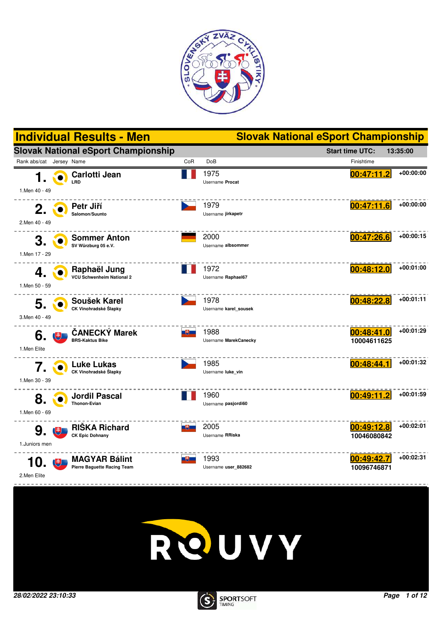





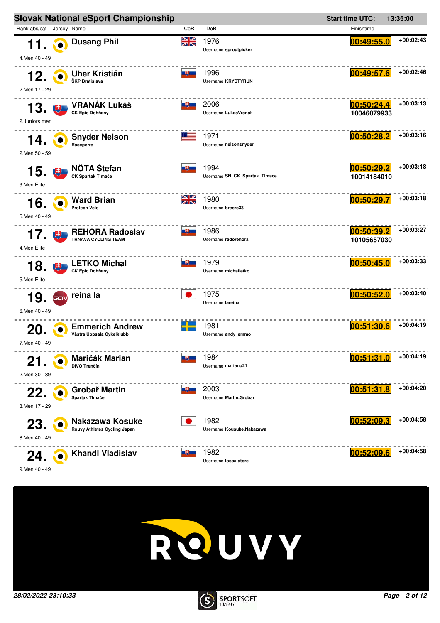



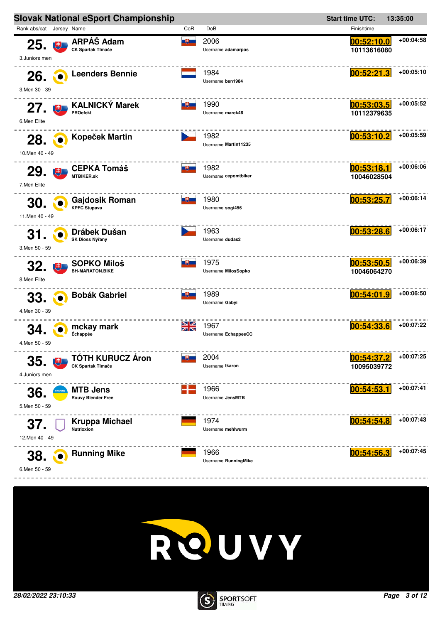



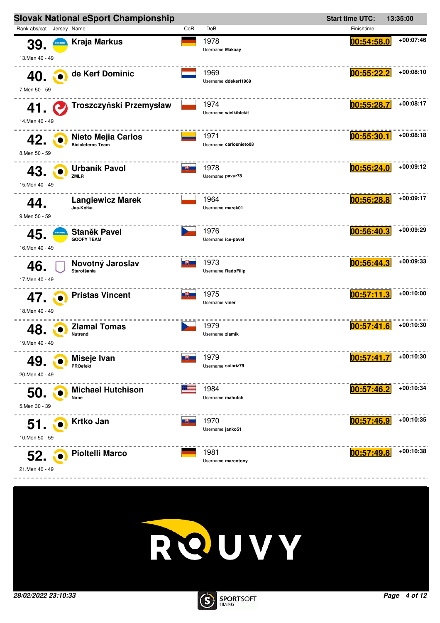



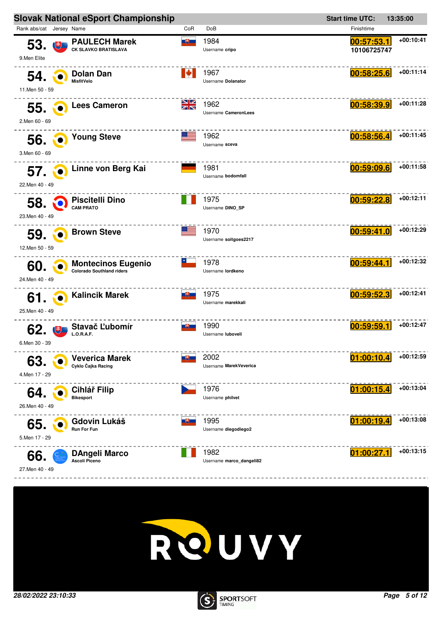|                                 | <b>Slovak National eSport Championship</b>                    |               |                                  | <b>Start time UTC:</b>    | 13:35:00    |
|---------------------------------|---------------------------------------------------------------|---------------|----------------------------------|---------------------------|-------------|
| Rank abs/cat Jersey Name        |                                                               | CoR           | DoB                              | Finishtime                |             |
| 53.<br>电<br>9.Men Elite         | <b>PAULECH Marek</b><br><b>CK SLAVKO BRATISLAVA</b>           | <u>ue – </u>  | 1984<br>Username cripo           | 00:57:53.1<br>10106725747 | +00:10:41   |
| 54.<br>11.Men 50 - 59           | Dolan Dan<br><b>MisfitVelo</b>                                | ▮◆            | 1967<br>Username Dolanator       | 00:58:25.6                | $+00:11:14$ |
| 55.<br>2.Men 60 - 69            | <b>Lees Cameron</b>                                           | NZ<br>ZN      | 1962<br>Username CameronLees     | 00:58:39.9                | +00:11:28   |
| 56.<br>3.Men 60 - 69            | <b>Young Steve</b>                                            |               | 1962<br>Username sceva           | 00:58:56.4                | +00:11:45   |
| <b>57. O</b><br>22. Men 40 - 49 | Linne von Berg Kai                                            |               | 1981<br>Username bodomfall       | 00:59:09.6                | $+00:11:58$ |
| 58.<br>23.Men 40 - 49           | <b>Piscitelli Dino</b><br><b>CAM PRATO</b>                    |               | 1975<br>Username DINO_SP         | 00:59:22.8                | $+00:12:11$ |
| 59.<br>12.Men 50 - 59           | <b>Brown Steve</b>                                            |               | 1970<br>Username soitgoes2217    | 00:59:41.0                | +00:12:29   |
| 60.<br>24.Men 40 - 49           | <b>Montecinos Eugenio</b><br><b>Colorado Southland riders</b> |               | 1978<br>Username lordkeno        | 00:59:44.1                | +00:12:32   |
| 61.<br>25.Men 40 - 49           | <b>Kalincik Marek</b>                                         | <u> UU - </u> | 1975<br>Username marekkali       | 00:59:52.3                | +00:12:41   |
| 62.<br>6.Men 30 - 39            | Stavač Ľubomír<br>L.O.R.A.F.                                  | 그부드           | 1990<br>Username luboveli        | 00:59:59.1                | +00:12:47   |
| 63<br>4.Men 17 - 29             | <b>Veverica Marek</b><br>Cyklo Čajka Racing                   |               | 2002<br>Username MarekVeverica   | 01:00:10.4                | $+00:12:59$ |
| 64.<br>26.Men 40 - 49           | <b>Cihlář Filip</b><br><b>Bikesport</b>                       |               | 1976<br>Username philvet         | 01:00:15.4                | +00:13:04   |
| 65.<br>5.Men 17 - 29            | Gdovin Lukáš<br>Run For Fun                                   |               | 1995<br>Username diegodiego2     | 01:00:19.4                | $+00:13:08$ |
| 66.<br>27. Men 40 - 49          | DAngeli Marco<br>Ascoli Piceno                                |               | 1982<br>Username marco_dangeli82 | 01:00:27.1                | $+00:13:15$ |



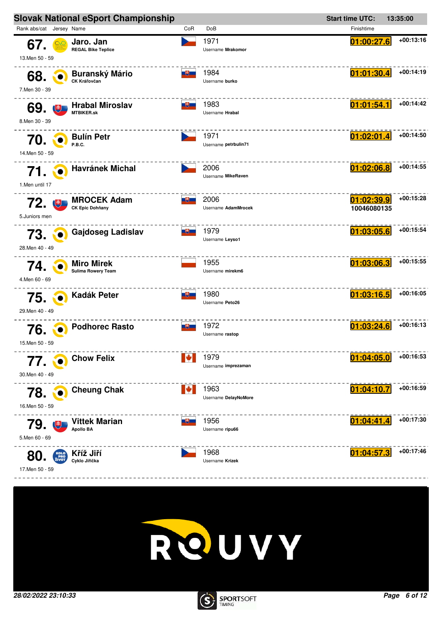



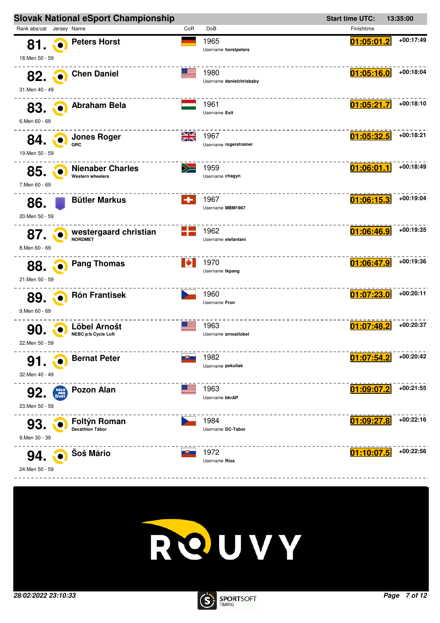



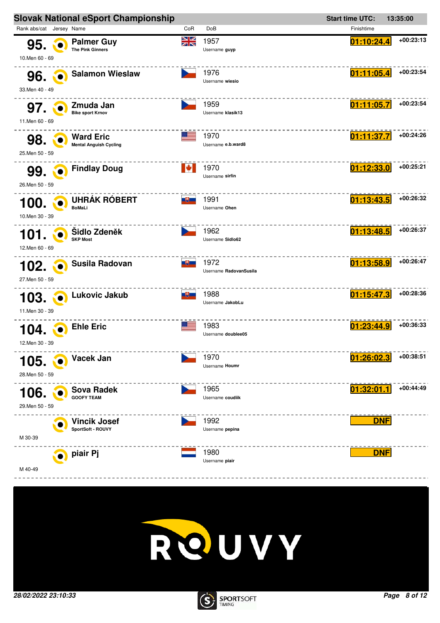



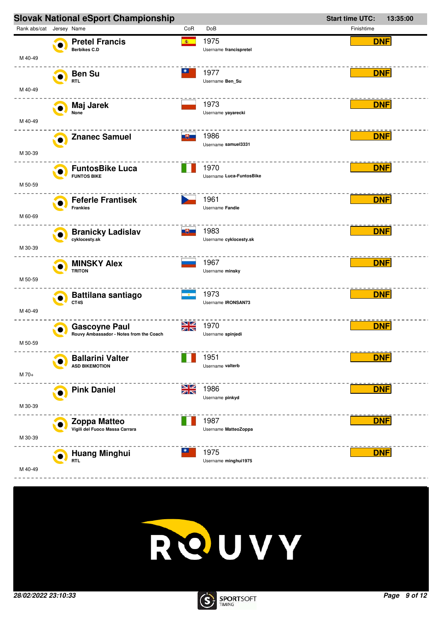



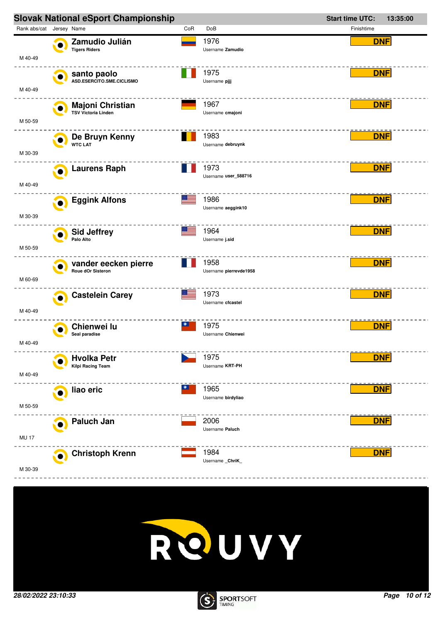



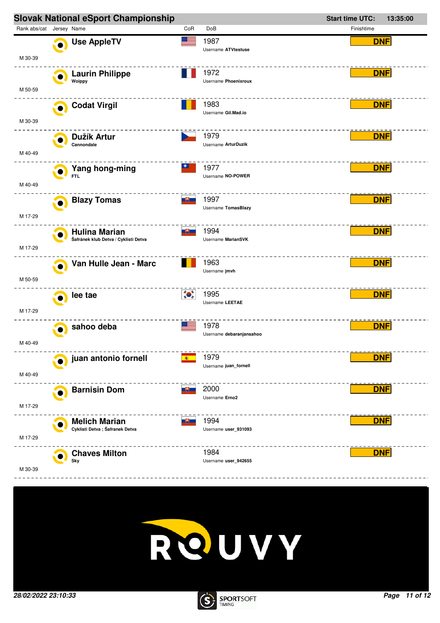